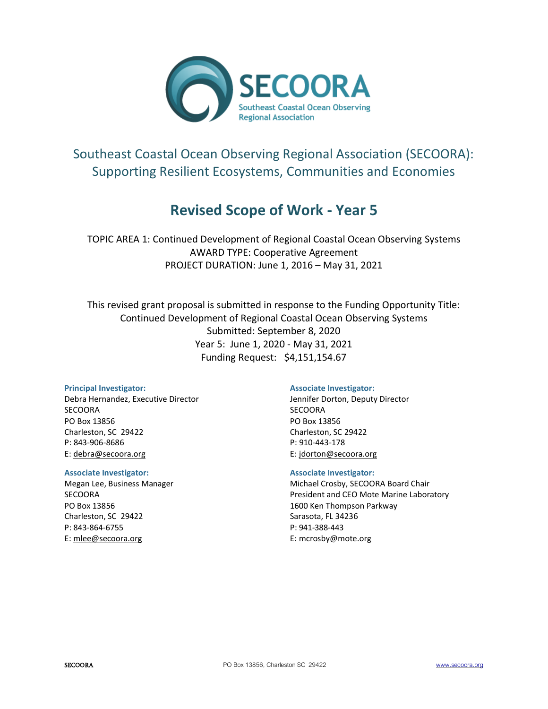

# Southeast Coastal Ocean Observing Regional Association (SECOORA): Supporting Resilient Ecosystems, Communities and Economies

# **Revised Scope of Work - Year 5**

TOPIC AREA 1: Continued Development of Regional Coastal Ocean Observing Systems AWARD TYPE: Cooperative Agreement PROJECT DURATION: June 1, 2016 – May 31, 2021

This revised grant proposal is submitted in response to the Funding Opportunity Title: Continued Development of Regional Coastal Ocean Observing Systems Submitted: September 8, 2020 Year 5: June 1, 2020 - May 31, 2021 Funding Request: \$4,151,154.67

#### **Principal Investigator:**

Debra Hernandez, Executive Director SECOORA PO Box 13856 Charleston, SC 29422 P: 843-906-8686 E: [debra@secoora.org](mailto:susannah@secoora.org)

#### **Associate Investigator:**

Megan Lee, Business Manager **SECOORA** PO Box 13856 Charleston, SC 29422 P: 843-864-6755 E[: mlee@secoora.org](mailto:mlee@secoora.org)

#### **Associate Investigator:**

Jennifer Dorton, Deputy Director SECOORA PO Box 13856 Charleston, SC 29422 P: 910-443-178 E: jdorton@secoora.org

#### **Associate Investigator:**

Michael Crosby, SECOORA Board Chair President and CEO Mote Marine Laboratory 1600 Ken Thompson Parkway Sarasota, FL 34236 P: 941-388-443 E: mcrosby@mote.org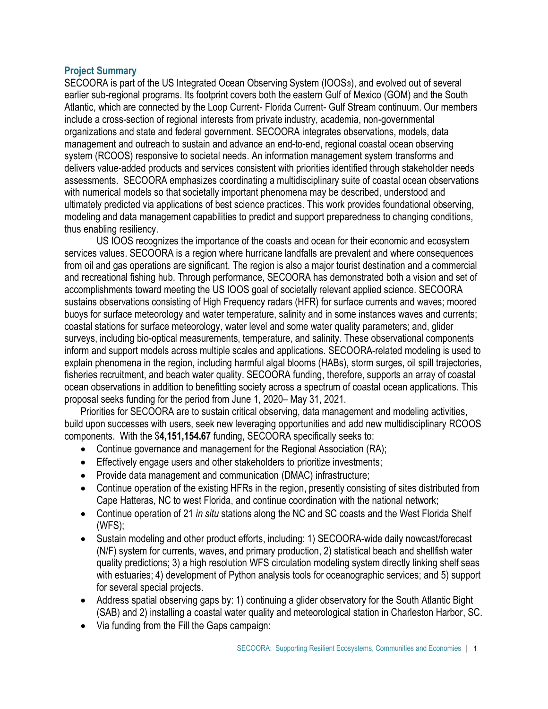## **Project Summary**

SECOORA is part of the US Integrated Ocean Observing System (IOOS®), and evolved out of several earlier sub-regional programs. Its footprint covers both the eastern Gulf of Mexico (GOM) and the South Atlantic, which are connected by the Loop Current- Florida Current- Gulf Stream continuum. Our members include a cross-section of regional interests from private industry, academia, non-governmental organizations and state and federal government. SECOORA integrates observations, models, data management and outreach to sustain and advance an end-to-end, regional coastal ocean observing system (RCOOS) responsive to societal needs. An information management system transforms and delivers value-added products and services consistent with priorities identified through stakeholder needs assessments. SECOORA emphasizes coordinating a multidisciplinary suite of coastal ocean observations with numerical models so that societally important phenomena may be described, understood and ultimately predicted via applications of best science practices. This work provides foundational observing, modeling and data management capabilities to predict and support preparedness to changing conditions, thus enabling resiliency.

US IOOS recognizes the importance of the coasts and ocean for their economic and ecosystem services values. SECOORA is a region where hurricane landfalls are prevalent and where consequences from oil and gas operations are significant. The region is also a major tourist destination and a commercial and recreational fishing hub. Through performance, SECOORA has demonstrated both a vision and set of accomplishments toward meeting the US IOOS goal of societally relevant applied science. SECOORA sustains observations consisting of High Frequency radars (HFR) for surface currents and waves; moored buoys for surface meteorology and water temperature, salinity and in some instances waves and currents; coastal stations for surface meteorology, water level and some water quality parameters; and, glider surveys, including bio-optical measurements, temperature, and salinity. These observational components inform and support models across multiple scales and applications. SECOORA-related modeling is used to explain phenomena in the region, including harmful algal blooms (HABs), storm surges, oil spill trajectories, fisheries recruitment, and beach water quality. SECOORA funding, therefore, supports an array of coastal ocean observations in addition to benefitting society across a spectrum of coastal ocean applications. This proposal seeks funding for the period from June 1, 2020– May 31, 2021.

Priorities for SECOORA are to sustain critical observing, data management and modeling activities, build upon successes with users, seek new leveraging opportunities and add new multidisciplinary RCOOS components. With the \$**4,151,154.67** funding, SECOORA specifically seeks to:

- Continue governance and management for the Regional Association (RA);
- Effectively engage users and other stakeholders to prioritize investments;
- Provide data management and communication (DMAC) infrastructure;
- Continue operation of the existing HFRs in the region, presently consisting of sites distributed from Cape Hatteras, NC to west Florida, and continue coordination with the national network;
- Continue operation of 21 *in situ* stations along the NC and SC coasts and the West Florida Shelf (WFS);
- Sustain modeling and other product efforts, including: 1) SECOORA-wide daily nowcast/forecast (N/F) system for currents, waves, and primary production, 2) statistical beach and shellfish water quality predictions; 3) a high resolution WFS circulation modeling system directly linking shelf seas with estuaries; 4) development of Python analysis tools for oceanographic services; and 5) support for several special projects.
- Address spatial observing gaps by: 1) continuing a glider observatory for the South Atlantic Bight (SAB) and 2) installing a coastal water quality and meteorological station in Charleston Harbor, SC.
- Via funding from the Fill the Gaps campaign: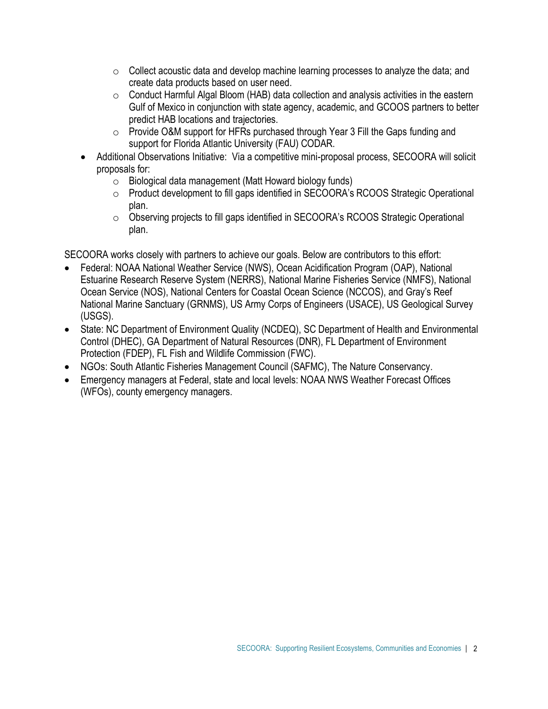- $\circ$  Collect acoustic data and develop machine learning processes to analyze the data; and create data products based on user need.
- o Conduct Harmful Algal Bloom (HAB) data collection and analysis activities in the eastern Gulf of Mexico in conjunction with state agency, academic, and GCOOS partners to better predict HAB locations and trajectories.
- o Provide O&M support for HFRs purchased through Year 3 Fill the Gaps funding and support for Florida Atlantic University (FAU) CODAR.
- Additional Observations Initiative: Via a competitive mini-proposal process, SECOORA will solicit proposals for:
	- o Biological data management (Matt Howard biology funds)
	- o Product development to fill gaps identified in SECOORA's RCOOS Strategic Operational plan.
	- $\circ$  Observing projects to fill gaps identified in SECOORA's RCOOS Strategic Operational plan.

SECOORA works closely with partners to achieve our goals. Below are contributors to this effort:

- Federal: NOAA National Weather Service (NWS), Ocean Acidification Program (OAP), National Estuarine Research Reserve System (NERRS), National Marine Fisheries Service (NMFS), National Ocean Service (NOS), National Centers for Coastal Ocean Science (NCCOS), and Gray's Reef National Marine Sanctuary (GRNMS), US Army Corps of Engineers (USACE), US Geological Survey (USGS).
- State: NC Department of Environment Quality (NCDEQ), SC Department of Health and Environmental Control (DHEC), GA Department of Natural Resources (DNR), FL Department of Environment Protection (FDEP), FL Fish and Wildlife Commission (FWC).
- NGOs: South Atlantic Fisheries Management Council (SAFMC), The Nature Conservancy.
- Emergency managers at Federal, state and local levels: NOAA NWS Weather Forecast Offices (WFOs), county emergency managers.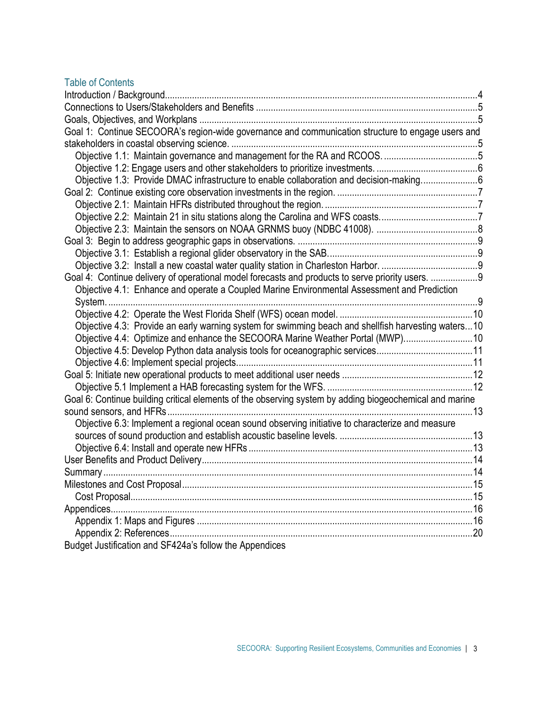# Table of Contents

| Goal 1: Continue SECOORA's region-wide governance and communication structure to engage users and       |  |
|---------------------------------------------------------------------------------------------------------|--|
|                                                                                                         |  |
|                                                                                                         |  |
|                                                                                                         |  |
| Objective 1.3: Provide DMAC infrastructure to enable collaboration and decision-making6                 |  |
|                                                                                                         |  |
|                                                                                                         |  |
|                                                                                                         |  |
|                                                                                                         |  |
|                                                                                                         |  |
|                                                                                                         |  |
|                                                                                                         |  |
| Goal 4: Continue delivery of operational model forecasts and products to serve priority users. 9        |  |
| Objective 4.1: Enhance and operate a Coupled Marine Environmental Assessment and Prediction             |  |
|                                                                                                         |  |
|                                                                                                         |  |
| Objective 4.3: Provide an early warning system for swimming beach and shellfish harvesting waters10     |  |
| Objective 4.4: Optimize and enhance the SECOORA Marine Weather Portal (MWP)10                           |  |
| Objective 4.5: Develop Python data analysis tools for oceanographic services11                          |  |
|                                                                                                         |  |
|                                                                                                         |  |
|                                                                                                         |  |
| Goal 6: Continue building critical elements of the observing system by adding biogeochemical and marine |  |
|                                                                                                         |  |
| Objective 6.3: Implement a regional ocean sound observing initiative to characterize and measure        |  |
|                                                                                                         |  |
|                                                                                                         |  |
|                                                                                                         |  |
|                                                                                                         |  |
|                                                                                                         |  |
|                                                                                                         |  |
|                                                                                                         |  |
|                                                                                                         |  |
|                                                                                                         |  |
| Budget Justification and SF424a's follow the Appendices                                                 |  |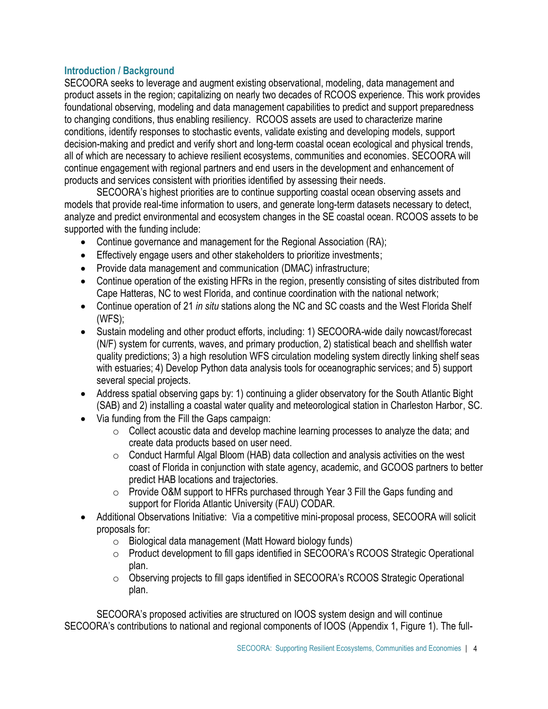# **Introduction / Background**

SECOORA seeks to leverage and augment existing observational, modeling, data management and product assets in the region; capitalizing on nearly two decades of RCOOS experience. This work provides foundational observing, modeling and data management capabilities to predict and support preparedness to changing conditions, thus enabling resiliency. RCOOS assets are used to characterize marine conditions, identify responses to stochastic events, validate existing and developing models, support decision-making and predict and verify short and long-term coastal ocean ecological and physical trends, all of which are necessary to achieve resilient ecosystems, communities and economies. SECOORA will continue engagement with regional partners and end users in the development and enhancement of products and services consistent with priorities identified by assessing their needs.

SECOORA's highest priorities are to continue supporting coastal ocean observing assets and models that provide real-time information to users, and generate long-term datasets necessary to detect, analyze and predict environmental and ecosystem changes in the SE coastal ocean. RCOOS assets to be supported with the funding include:

- Continue governance and management for the Regional Association (RA);
- Effectively engage users and other stakeholders to prioritize investments;
- Provide data management and communication (DMAC) infrastructure;
- Continue operation of the existing HFRs in the region, presently consisting of sites distributed from Cape Hatteras, NC to west Florida, and continue coordination with the national network;
- Continue operation of 21 *in situ* stations along the NC and SC coasts and the West Florida Shelf (WFS);
- Sustain modeling and other product efforts, including: 1) SECOORA-wide daily nowcast/forecast (N/F) system for currents, waves, and primary production, 2) statistical beach and shellfish water quality predictions; 3) a high resolution WFS circulation modeling system directly linking shelf seas with estuaries; 4) Develop Python data analysis tools for oceanographic services; and 5) support several special projects.
- Address spatial observing gaps by: 1) continuing a glider observatory for the South Atlantic Bight (SAB) and 2) installing a coastal water quality and meteorological station in Charleston Harbor, SC.
- Via funding from the Fill the Gaps campaign:
	- $\circ$  Collect acoustic data and develop machine learning processes to analyze the data; and create data products based on user need.
	- $\circ$  Conduct Harmful Algal Bloom (HAB) data collection and analysis activities on the west coast of Florida in conjunction with state agency, academic, and GCOOS partners to better predict HAB locations and trajectories.
	- o Provide O&M support to HFRs purchased through Year 3 Fill the Gaps funding and support for Florida Atlantic University (FAU) CODAR.
- Additional Observations Initiative: Via a competitive mini-proposal process, SECOORA will solicit proposals for:
	- o Biological data management (Matt Howard biology funds)
	- o Product development to fill gaps identified in SECOORA's RCOOS Strategic Operational plan.
	- $\circ$  Observing projects to fill gaps identified in SECOORA's RCOOS Strategic Operational plan.

SECOORA's proposed activities are structured on IOOS system design and will continue SECOORA's contributions to national and regional components of IOOS (Appendix 1, Figure 1). The full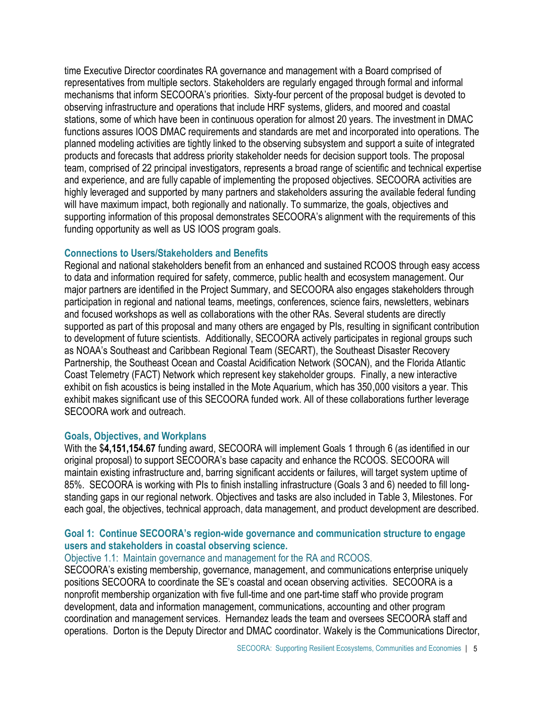time Executive Director coordinates RA governance and management with a Board comprised of representatives from multiple sectors. Stakeholders are regularly engaged through formal and informal mechanisms that inform SECOORA's priorities. Sixty-four percent of the proposal budget is devoted to observing infrastructure and operations that include HRF systems, gliders, and moored and coastal stations, some of which have been in continuous operation for almost 20 years. The investment in DMAC functions assures IOOS DMAC requirements and standards are met and incorporated into operations. The planned modeling activities are tightly linked to the observing subsystem and support a suite of integrated products and forecasts that address priority stakeholder needs for decision support tools. The proposal team, comprised of 22 principal investigators, represents a broad range of scientific and technical expertise and experience, and are fully capable of implementing the proposed objectives. SECOORA activities are highly leveraged and supported by many partners and stakeholders assuring the available federal funding will have maximum impact, both regionally and nationally. To summarize, the goals, objectives and supporting information of this proposal demonstrates SECOORA's alignment with the requirements of this funding opportunity as well as US IOOS program goals.

#### **Connections to Users/Stakeholders and Benefits**

Regional and national stakeholders benefit from an enhanced and sustained RCOOS through easy access to data and information required for safety, commerce, public health and ecosystem management. Our major partners are identified in the Project Summary, and SECOORA also engages stakeholders through participation in regional and national teams, meetings, conferences, science fairs, newsletters, webinars and focused workshops as well as collaborations with the other RAs. Several students are directly supported as part of this proposal and many others are engaged by PIs, resulting in significant contribution to development of future scientists. Additionally, SECOORA actively participates in regional groups such as NOAA's Southeast and Caribbean Regional Team (SECART), the Southeast Disaster Recovery Partnership, the Southeast Ocean and Coastal Acidification Network (SOCAN), and the Florida Atlantic Coast Telemetry (FACT) Network which represent key stakeholder groups. Finally, a new interactive exhibit on fish acoustics is being installed in the Mote Aquarium, which has 350,000 visitors a year. This exhibit makes significant use of this SECOORA funded work. All of these collaborations further leverage SECOORA work and outreach.

#### **Goals, Objectives, and Workplans**

With the \$**4,151,154.67** funding award, SECOORA will implement Goals 1 through 6 (as identified in our original proposal) to support SECOORA's base capacity and enhance the RCOOS. SECOORA will maintain existing infrastructure and, barring significant accidents or failures, will target system uptime of 85%. SECOORA is working with PIs to finish installing infrastructure (Goals 3 and 6) needed to fill longstanding gaps in our regional network. Objectives and tasks are also included in Table 3, Milestones. For each goal, the objectives, technical approach, data management, and product development are described.

## **Goal 1: Continue SECOORA's region-wide governance and communication structure to engage users and stakeholders in coastal observing science.**

#### Objective 1.1: Maintain governance and management for the RA and RCOOS.

SECOORA's existing membership, governance, management, and communications enterprise uniquely positions SECOORA to coordinate the SE's coastal and ocean observing activities. SECOORA is a nonprofit membership organization with five full-time and one part-time staff who provide program development, data and information management, communications, accounting and other program coordination and management services. Hernandez leads the team and oversees SECOORA staff and operations. Dorton is the Deputy Director and DMAC coordinator. Wakely is the Communications Director,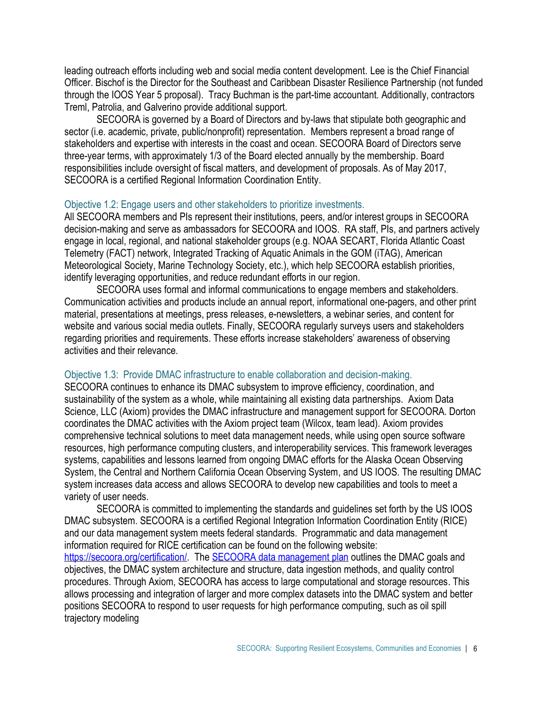leading outreach efforts including web and social media content development. Lee is the Chief Financial Officer. Bischof is the Director for the Southeast and Caribbean Disaster Resilience Partnership (not funded through the IOOS Year 5 proposal). Tracy Buchman is the part-time accountant. Additionally, contractors Treml, Patrolia, and Galverino provide additional support.

SECOORA is governed by a Board of Directors and [by-laws](http://secoora.org/members/governance/by-laws#navigation) that stipulate both geographic and sector (i.e. academic, private, public/nonprofit) representation. [Members](http://secoora.org/about/membership#navigation) represent a broad range of stakeholders and expertise with interests in the coast and ocean. SECOORA Board of Directors serve three-year terms, with approximately 1/3 of the Board elected annually by the membership. Board responsibilities include oversight of fiscal matters, and development of proposals. As of May 2017, SECOORA is a certified Regional Information Coordination Entity.

#### Objective 1.2: Engage users and other stakeholders to prioritize investments.

All SECOORA members and PIs represent their institutions, peers, and/or interest groups in SECOORA decision-making and serve as ambassadors for SECOORA and IOOS. RA staff, PIs, and partners actively engage in local, regional, and national stakeholder groups (e.g. NOAA SECART, Florida Atlantic Coast Telemetry (FACT) network, Integrated Tracking of Aquatic Animals in the GOM (iTAG), American Meteorological Society, Marine Technology Society, etc.), which help SECOORA establish priorities, identify leveraging opportunities, and reduce redundant efforts in our region.

SECOORA uses formal and informal communications to engage members and stakeholders. Communication activities and products include an annual report, informational one-pagers, and other print material, presentations at meetings, press releases, e-newsletters, a webinar series, and content for website and various social media outlets. Finally, SECOORA regularly surveys users and stakeholders regarding priorities and requirements. These efforts increase stakeholders' awareness of observing activities and their relevance.

#### Objective 1.3: Provide DMAC infrastructure to enable collaboration and decision-making.

SECOORA continues to enhance its DMAC subsystem to improve efficiency, coordination, and sustainability of the system as a whole, while maintaining all existing data partnerships. Axiom Data Science, LLC (Axiom) provides the DMAC infrastructure and management support for SECOORA. Dorton coordinates the DMAC activities with the Axiom project team (Wilcox, team lead). Axiom provides comprehensive technical solutions to meet data management needs, while using open source software resources, high performance computing clusters, and interoperability services. This framework leverages systems, capabilities and lessons learned from ongoing DMAC efforts for the Alaska Ocean Observing System, the Central and Northern California Ocean Observing System, and US IOOS. The resulting DMAC system increases data access and allows SECOORA to develop new capabilities and tools to meet a variety of user needs.

SECOORA is committed to implementing the standards and guidelines set forth by the US IOOS DMAC subsystem. SECOORA is a certified Regional Integration Information Coordination Entity (RICE) and our data management system meets federal standards. Programmatic and data management information required for RICE certification can be found on the following website: [https://secoora.org/certification/.](https://secoora.org/certification/) Th[e SECOORA data management plan](mailto:http://secoora.org/wp-content/uploads/2018/09/SECOORA-Data-Management-and-Communications-DMAC-Plan.pdf) outlines the DMAC goals and objectives, the DMAC system architecture and structure, data ingestion methods, and quality control procedures. Through Axiom, SECOORA has access to large computational and storage resources. This allows processing and integration of larger and more complex datasets into the DMAC system and better positions SECOORA to respond to user requests for high performance computing, such as oil spill trajectory modeling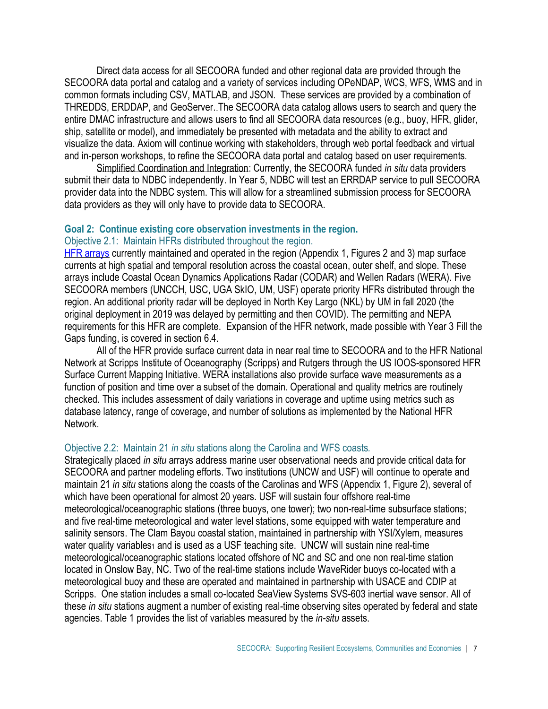Direct data access for all SECOORA funded and other regional data are provided through the SECOORA data portal and catalog and a variety of services including OPeNDAP, WCS, WFS, WMS and in common formats including CSV, MATLAB, and JSON. These services are provided by a combination of THREDDS, ERDDAP, and GeoServer. The SECOORA data catalog allows users to search and query the entire DMAC infrastructure and allows users to find all SECOORA data resources (e.g., buoy, HFR, glider, ship, satellite or model), and immediately be presented with metadata and the ability to extract and visualize the data. Axiom will continue working with stakeholders, through web portal feedback and virtual and in-person workshops, to refine the SECOORA data portal and catalog based on user requirements.

Simplified Coordination and Integration: Currently, the SECOORA funded *in situ* data providers submit their data to NDBC independently. In Year 5, NDBC will test an ERRDAP service to pull SECOORA provider data into the NDBC system. This will allow for a streamlined submission process for SECOORA data providers as they will only have to provide data to SECOORA.

#### **Goal 2: Continue existing core observation investments in the region.** Objective 2.1: Maintain HFRs distributed throughout the region.

[HFR arrays](https://secoora.org/hfradar/#data) currently maintained and operated in the region (Appendix 1, Figures 2 and 3) map surface currents at high spatial and temporal resolution across the coastal ocean, outer shelf, and slope. These arrays include Coastal Ocean Dynamics Applications Radar (CODAR) and Wellen Radars (WERA). Five SECOORA members (UNCCH, USC, UGA SkIO, UM, USF) operate priority HFRs distributed through the region. An additional priority radar will be deployed in North Key Largo (NKL) by UM in fall 2020 (the original deployment in 2019 was delayed by permitting and then COVID). The permitting and NEPA requirements for this HFR are complete. Expansion of the HFR network, made possible with Year 3 Fill the Gaps funding, is covered in section 6.4.

All of the HFR provide surface current data in near real time to SECOORA and to the HFR National Network at Scripps Institute of Oceanography (Scripps) and Rutgers through the US IOOS-sponsored HFR Surface Current Mapping Initiative. WERA installations also provide surface wave measurements as a function of position and time over a subset of the domain. Operational and quality metrics are routinely checked. This includes assessment of daily variations in coverage and uptime using metrics such as database latency, range of coverage, and number of solutions as implemented by the National HFR Network.

#### Objective 2.2: Maintain 21 *in situ* stations along the Carolina and WFS coasts*.*

Strategically placed *in situ* arrays address marine user observational needs and provide critical data for SECOORA and partner modeling efforts. Two institutions (UNCW and USF) will continue to operate and maintain 21 *in situ* stations along the coasts of the Carolinas and WFS (Appendix 1, Figure 2), several of which have been operational for almost 20 years. USF will sustain four offshore real-time meteorological/oceanographic stations (three buoys, one tower); two non-real-time subsurface stations; and five real-time meteorological and water level stations, some equipped with water temperature and salinity sensors. The Clam Bayou coastal station, maintained in partnership with YSI/Xylem, measures water quality variables1 and is used as a USF teaching site. UNCW will sustain nine real-time meteorological/oceanographic stations located offshore of NC and SC and one non real-time station located in Onslow Bay, NC. Two of the real-time stations include WaveRider buoys co-located with a meteorological buoy and these are operated and maintained in partnership with USACE and CDIP at Scripps. One station includes a small co-located SeaView Systems SVS-603 inertial wave sensor. All of these *in situ* stations augment a number of existing real-time observing sites operated by federal and state agencies. Table 1 provides the list of variables measured by the *in-situ* assets.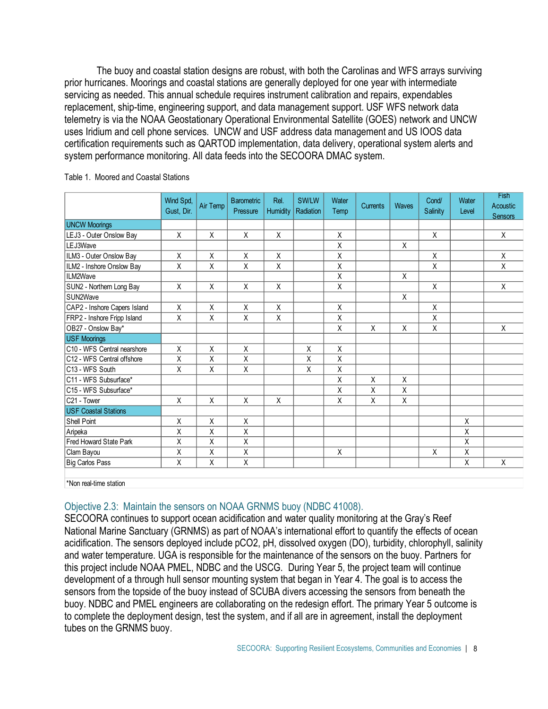The buoy and coastal station designs are robust, with both the Carolinas and WFS arrays surviving prior hurricanes. Moorings and coastal stations are generally deployed for one year with intermediate servicing as needed. This annual schedule requires instrument calibration and repairs, expendables replacement, ship-time, engineering support, and data management support. USF WFS network data telemetry is via the NOAA Geostationary Operational Environmental Satellite (GOES) network and UNCW uses Iridium and cell phone services. UNCW and USF address data management and US IOOS data certification requirements such as QARTOD implementation, data delivery, operational system alerts and system performance monitoring. All data feeds into the SECOORA DMAC system.

|                                   | Wind Spd,<br>Gust, Dir. | Air Temp | <b>Barometric</b><br>Pressure | Rel.<br>Humidity | SW/LW<br>Radiation | Water<br>Temp | Currents | Waves | Cond/<br>Salinity | Water<br>Level | <b>Fish</b><br>Acoustic<br><b>Sensors</b> |
|-----------------------------------|-------------------------|----------|-------------------------------|------------------|--------------------|---------------|----------|-------|-------------------|----------------|-------------------------------------------|
| <b>UNCW Moorings</b>              |                         |          |                               |                  |                    |               |          |       |                   |                |                                           |
| LEJ3 - Outer Onslow Bay           | X                       | X        | X                             | Χ                |                    | X             |          |       | X                 |                | $\mathsf{X}$                              |
| LEJ3Wave                          |                         |          |                               |                  |                    | Χ             |          | Χ     |                   |                |                                           |
| ILM3 - Outer Onslow Bay           | X                       | X        | X                             | X                |                    | X             |          |       | X                 |                | X                                         |
| ILM2 - Inshore Onslow Bay         | Χ                       | Χ        | X                             | Χ                |                    | Χ             |          |       | Χ                 |                | X                                         |
| ILM2Wave                          |                         |          |                               |                  |                    | Χ             |          | Χ     |                   |                |                                           |
| SUN2 - Northern Long Bay          | X                       | X        | X                             | Χ                |                    | X             |          |       | X                 |                | X                                         |
| SUN2Wave                          |                         |          |                               |                  |                    |               |          | X     |                   |                |                                           |
| CAP2 - Inshore Capers Island      | X                       | X        | $\sf X$                       | X                |                    | X             |          |       | X                 |                |                                           |
| FRP2 - Inshore Fripp Island       | X                       | X        | X                             | Χ                |                    | Χ             |          |       | Χ                 |                |                                           |
| OB27 - Onslow Bay*                |                         |          |                               |                  |                    | Χ             | X        | Χ     | Χ                 |                | X                                         |
| <b>USF Moorings</b>               |                         |          |                               |                  |                    |               |          |       |                   |                |                                           |
| C10 - WFS Central nearshore       | X                       | $\sf X$  | X                             |                  | Χ                  | Χ             |          |       |                   |                |                                           |
| C12 - WFS Central offshore        | Χ                       | Χ        | $\mathsf X$                   |                  | Χ                  | X             |          |       |                   |                |                                           |
| C13 - WFS South                   | X                       | Χ        | X                             |                  | X                  | Χ             |          |       |                   |                |                                           |
| C <sub>11</sub> - WFS Subsurface* |                         |          |                               |                  |                    | X             | X        | X     |                   |                |                                           |
| C <sub>15</sub> - WFS Subsurface* |                         |          |                               |                  |                    | X             | X        | X     |                   |                |                                           |
| C21 - Tower                       | X                       | X        | X                             | Χ                |                    | X             | Χ        | Χ     |                   |                |                                           |
| <b>USF Coastal Stations</b>       |                         |          |                               |                  |                    |               |          |       |                   |                |                                           |
| <b>Shell Point</b>                | X                       | X        | X                             |                  |                    |               |          |       |                   | X              |                                           |
| Aripeka                           | X                       | Χ        | X                             |                  |                    |               |          |       |                   | X              |                                           |
| Fred Howard State Park            | X                       | Χ        | X                             |                  |                    |               |          |       |                   | X              |                                           |
| Clam Bayou                        | X                       | Χ        | X                             |                  |                    | X             |          |       | X                 | X              |                                           |
| Big Carlos Pass                   | Χ                       | X        | $\overline{X}$                |                  |                    |               |          |       |                   | $\sf X$        | $\sf X$                                   |
|                                   |                         |          |                               |                  |                    |               |          |       |                   |                |                                           |

#### Table 1. Moored and Coastal Stations

\*Non real-time station

# Objective 2.3: Maintain the sensors on NOAA GRNMS buoy (NDBC 41008).

SECOORA continues to support ocean acidification and water quality monitoring at the Gray's Reef National Marine Sanctuary (GRNMS) as part of NOAA's international effort to quantify the effects of ocean acidification. The sensors deployed include pCO2, pH, dissolved oxygen (DO), turbidity, chlorophyll, salinity and water temperature. UGA is responsible for the maintenance of the sensors on the buoy. Partners for this project include NOAA PMEL, NDBC and the USCG. During Year 5, the project team will continue development of a through hull sensor mounting system that began in Year 4. The goal is to access the sensors from the topside of the buoy instead of SCUBA divers accessing the sensors from beneath the buoy. NDBC and PMEL engineers are collaborating on the redesign effort. The primary Year 5 outcome is to complete the deployment design, test the system, and if all are in agreement, install the deployment tubes on the GRNMS buoy.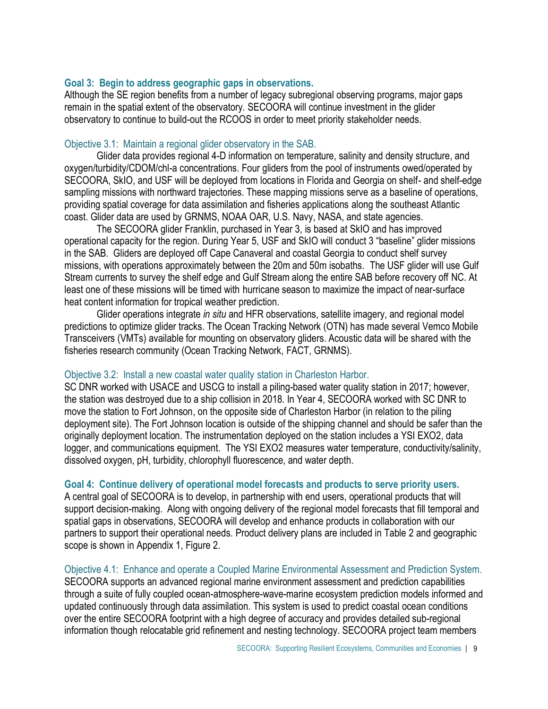#### **Goal 3: Begin to address geographic gaps in observations.**

Although the SE region benefits from a number of legacy subregional observing programs, major gaps remain in the spatial extent of the observatory. SECOORA will continue investment in the glider observatory to continue to build-out the RCOOS in order to meet priority stakeholder needs.

#### Objective 3.1: Maintain a regional glider observatory in the SAB.

Glider data provides regional 4-D information on temperature, salinity and density structure, and oxygen/turbidity/CDOM/chl-a concentrations. Four gliders from the pool of instruments owed/operated by SECOORA, SkIO, and USF will be deployed from locations in Florida and Georgia on shelf- and shelf-edge sampling missions with northward trajectories. These mapping missions serve as a baseline of operations, providing spatial coverage for data assimilation and fisheries applications along the southeast Atlantic coast. Glider data are used by GRNMS, NOAA OAR, U.S. Navy, NASA, and state agencies.

The SECOORA glider Franklin, purchased in Year 3, is based at SkIO and has improved operational capacity for the region. During Year 5, USF and SkIO will conduct 3 "baseline" glider missions in the SAB. Gliders are deployed off Cape Canaveral and coastal Georgia to conduct shelf survey missions, with operations approximately between the 20m and 50m isobaths. The USF glider will use Gulf Stream currents to survey the shelf edge and Gulf Stream along the entire SAB before recovery off NC. At least one of these missions will be timed with hurricane season to maximize the impact of near-surface heat content information for tropical weather prediction.

Glider operations integrate *in situ* and HFR observations, satellite imagery, and regional model predictions to optimize glider tracks. The Ocean Tracking Network (OTN) has made several Vemco Mobile Transceivers (VMTs) available for mounting on observatory gliders. Acoustic data will be shared with the fisheries research community (Ocean Tracking Network, FACT, GRNMS).

#### Objective 3.2: Install a new coastal water quality station in Charleston Harbor.

SC DNR worked with USACE and USCG to install a piling-based water quality station in 2017; however, the station was destroyed due to a ship collision in 2018. In Year 4, SECOORA worked with SC DNR to move the station to Fort Johnson, on the opposite side of Charleston Harbor (in relation to the piling deployment site). The Fort Johnson location is outside of the shipping channel and should be safer than the originally deployment location. The instrumentation deployed on the station includes a YSI EXO2, data logger, and communications equipment. The YSI EXO2 measures water temperature, conductivity/salinity, dissolved oxygen, pH, turbidity, chlorophyll fluorescence, and water depth.

#### **Goal 4: Continue delivery of operational model forecasts and products to serve priority users.**

A central goal of SECOORA is to develop, in partnership with end users, operational products that will support decision-making. Along with ongoing delivery of the regional model forecasts that fill temporal and spatial gaps in observations, SECOORA will develop and enhance products in collaboration with our partners to support their operational needs. Product delivery plans are included in Table 2 and geographic scope is shown in Appendix 1, Figure 2.

Objective 4.1: Enhance and operate a Coupled Marine Environmental Assessment and Prediction System. SECOORA supports an advanced regional marine environment assessment and prediction capabilities through a suite of fully coupled ocean-atmosphere-wave-marine ecosystem prediction models informed and updated continuously through data assimilation. This system is used to predict coastal ocean conditions over the entire SECOORA footprint with a high degree of accuracy and provides detailed sub-regional information though relocatable grid refinement and nesting technology. SECOORA project team members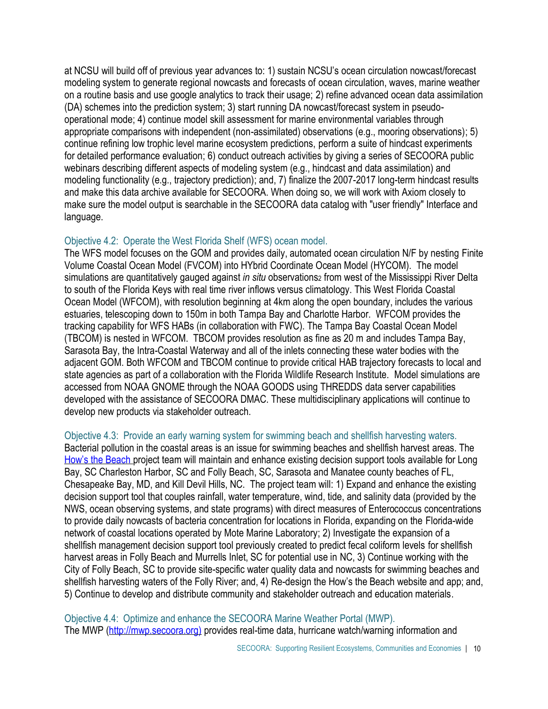at NCSU will build off of previous year advances to: 1) sustain NCSU's ocean circulation nowcast/forecast modeling system to generate regional nowcasts and forecasts of ocean circulation, waves, marine weather on a routine basis and use google analytics to track their usage; 2) refine advanced ocean data assimilation (DA) schemes into the prediction system; 3) start running DA nowcast/forecast system in pseudooperational mode; 4) continue model skill assessment for marine environmental variables through appropriate comparisons with independent (non-assimilated) observations (e.g., mooring observations); 5) continue refining low trophic level marine ecosystem predictions, perform a suite of hindcast experiments for detailed performance evaluation; 6) conduct outreach activities by giving a series of SECOORA public webinars describing different aspects of modeling system (e.g., hindcast and data assimilation) and modeling functionality (e.g., trajectory prediction); and, 7) finalize the 2007-2017 long-term hindcast results and make this data archive available for SECOORA. When doing so, we will work with Axiom closely to make sure the model output is searchable in the SECOORA data catalog with "user friendly" Interface and language.

#### Objective 4.2: Operate the West Florida Shelf (WFS) ocean model.

The WFS model focuses on the GOM and provides daily, automated ocean circulation N/F by nesting Finite Volume Coastal Ocean Model (FVCOM) into HYbrid Coordinate Ocean Model (HYCOM). The model simulations are quantitatively gauged against *in situ* observations<sup>2</sup> from west of the Mississippi River Delta to south of the Florida Keys with real time river inflows versus climatology. This West Florida Coastal Ocean Model (WFCOM), with resolution beginning at 4km along the open boundary, includes the various estuaries, telescoping down to 150m in both Tampa Bay and Charlotte Harbor. WFCOM provides the tracking capability for WFS HABs (in collaboration with FWC). The Tampa Bay Coastal Ocean Model (TBCOM) is nested in WFCOM. TBCOM provides resolution as fine as 20 m and includes Tampa Bay, Sarasota Bay, the Intra-Coastal Waterway and all of the inlets connecting these water bodies with the adjacent GOM. Both WFCOM and TBCOM continue to provide critical HAB trajectory forecasts to local and state agencies as part of a collaboration with the Florida Wildlife Research Institute. Model simulations are accessed from NOAA GNOME through the NOAA GOODS using THREDDS data server capabilities developed with the assistance of SECOORA DMAC. These multidisciplinary applications will continue to develop new products via stakeholder outreach.

#### Objective 4.3: Provide an early warning system for swimming beach and shellfish harvesting waters.

Bacterial pollution in the coastal areas is an issue for swimming beaches and shellfish harvest areas. The [How's the Beach](http://howsthebeach.org/) project team will maintain and enhance existing decision support tools available for Long Bay, SC Charleston Harbor, SC and Folly Beach, SC, Sarasota and Manatee county beaches of FL, Chesapeake Bay, MD, and Kill Devil Hills, NC. The project team will: 1) Expand and enhance the existing decision support tool that couples rainfall, water temperature, wind, tide, and salinity data (provided by the NWS, ocean observing systems, and state programs) with direct measures of Enterococcus concentrations to provide daily nowcasts of bacteria concentration for locations in Florida, expanding on the Florida-wide network of coastal locations operated by Mote Marine Laboratory; 2) Investigate the expansion of a shellfish management decision support tool previously created to predict fecal coliform levels for shellfish harvest areas in Folly Beach and Murrells Inlet, SC for potential use in NC, 3) Continue working with the City of Folly Beach, SC to provide site-specific water quality data and nowcasts for swimming beaches and shellfish harvesting waters of the Folly River; and, 4) Re-design the How's the Beach website and app; and, 5) Continue to develop and distribute community and stakeholder outreach and education materials.

Objective 4.4: Optimize and enhance the SECOORA Marine Weather Portal (MWP). The MWP [\(http://mwp.secoora.org\)](http://mwp.secoora.org)/) provides real-time data, hurricane watch/warning information and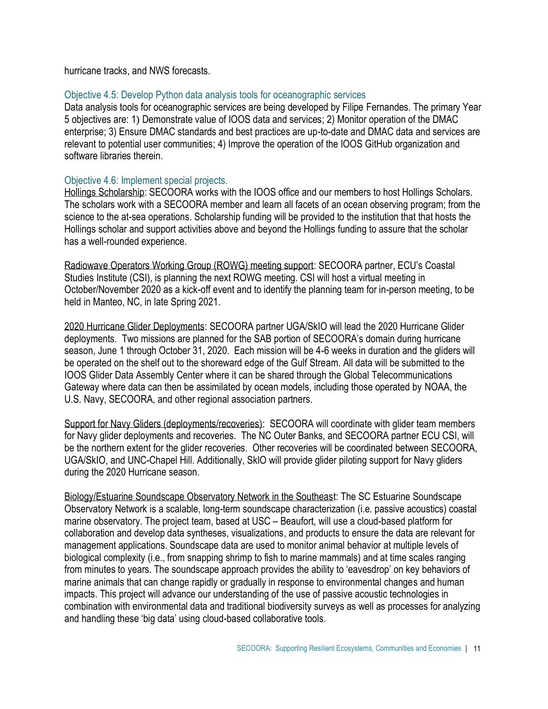hurricane tracks, and NWS forecasts.

#### Objective 4.5: Develop Python data analysis tools for oceanographic services

Data analysis tools for oceanographic services are being developed by Filipe Fernandes. The primary Year 5 objectives are: 1) Demonstrate value of IOOS data and services; 2) Monitor operation of the DMAC enterprise; 3) Ensure DMAC standards and best practices are up-to-date and DMAC data and services are relevant to potential user communities; 4) Improve the operation of the IOOS GitHub organization and software libraries therein.

## Objective 4.6: Implement special projects.

Hollings Scholarship: SECOORA works with the IOOS office and our members to host Hollings Scholars. The scholars work with a SECOORA member and learn all facets of an ocean observing program; from the science to the at-sea operations. Scholarship funding will be provided to the institution that that hosts the Hollings scholar and support activities above and beyond the Hollings funding to assure that the scholar has a well-rounded experience.

Radiowave Operators Working Group (ROWG) meeting support: SECOORA partner, ECU's Coastal Studies Institute (CSI), is planning the next ROWG meeting. CSI will host a virtual meeting in October/November 2020 as a kick-off event and to identify the planning team for in-person meeting, to be held in Manteo, NC, in late Spring 2021.

2020 Hurricane Glider Deployments: SECOORA partner UGA/SkIO will lead the 2020 Hurricane Glider deployments. Two missions are planned for the SAB portion of SECOORA's domain during hurricane season, June 1 through October 31, 2020. Each mission will be 4-6 weeks in duration and the gliders will be operated on the shelf out to the shoreward edge of the Gulf Stream. All data will be submitted to the IOOS Glider Data Assembly Center where it can be shared through the Global Telecommunications Gateway where data can then be assimilated by ocean models, including those operated by NOAA, the U.S. Navy, SECOORA, and other regional association partners.

Support for Navy Gliders (deployments/recoveries): SECOORA will coordinate with glider team members for Navy glider deployments and recoveries. The NC Outer Banks, and SECOORA partner ECU CSI, will be the northern extent for the glider recoveries. Other recoveries will be coordinated between SECOORA, UGA/SkIO, and UNC-Chapel Hill. Additionally, SkIO will provide glider piloting support for Navy gliders during the 2020 Hurricane season.

Biology/Estuarine Soundscape Observatory Network in the Southeast: The SC Estuarine Soundscape Observatory Network is a scalable, long-term soundscape characterization (i.e. passive acoustics) coastal marine observatory. The project team, based at USC – Beaufort, will use a cloud-based platform for collaboration and develop data syntheses, visualizations, and products to ensure the data are relevant for management applications. Soundscape data are used to monitor animal behavior at multiple levels of biological complexity (i.e., from snapping shrimp to fish to marine mammals) and at time scales ranging from minutes to years. The soundscape approach provides the ability to 'eavesdrop' on key behaviors of marine animals that can change rapidly or gradually in response to environmental changes and human impacts. This project will advance our understanding of the use of passive acoustic technologies in combination with environmental data and traditional biodiversity surveys as well as processes for analyzing and handling these 'big data' using cloud-based collaborative tools.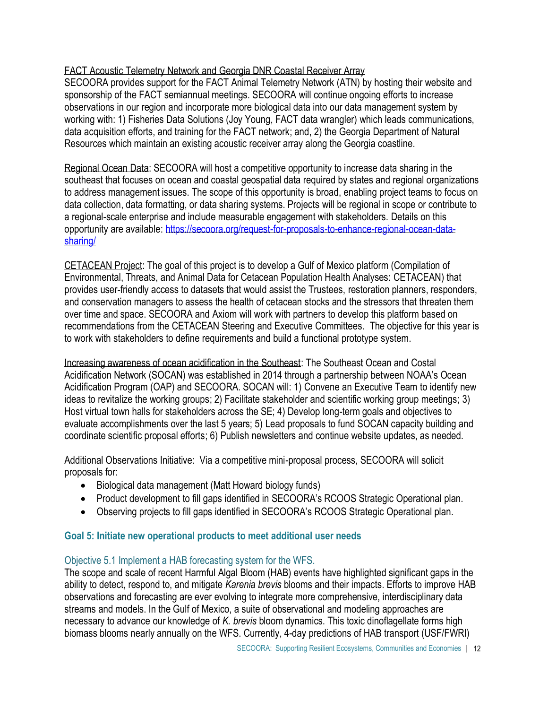# FACT Acoustic Telemetry Network and Georgia DNR Coastal Receiver Array

SECOORA provides support for the FACT Animal Telemetry Network (ATN) by hosting their website and sponsorship of the FACT semiannual meetings. SECOORA will continue ongoing efforts to increase observations in our region and incorporate more biological data into our data management system by working with: 1) Fisheries Data Solutions (Joy Young, FACT data wrangler) which leads communications, data acquisition efforts, and training for the FACT network; and, 2) the Georgia Department of Natural Resources which maintain an existing acoustic receiver array along the Georgia coastline.

Regional Ocean Data: SECOORA will host a competitive opportunity to increase data sharing in the southeast that focuses on ocean and coastal geospatial data required by states and regional organizations to address management issues. The scope of this opportunity is broad, enabling project teams to focus on data collection, data formatting, or data sharing systems. Projects will be regional in scope or contribute to a regional-scale enterprise and include measurable engagement with stakeholders. Details on this opportunity are available[: https://secoora.org/request-for-proposals-to-enhance-regional-ocean-data](https://secoora.org/request-for-proposals-to-enhance-regional-ocean-data-sharing/)[sharing/](https://secoora.org/request-for-proposals-to-enhance-regional-ocean-data-sharing/)

CETACEAN Project: The goal of this project is to develop a Gulf of Mexico platform (Compilation of Environmental, Threats, and Animal Data for Cetacean Population Health Analyses: CETACEAN) that provides user-friendly access to datasets that would assist the Trustees, restoration planners, responders, and conservation managers to assess the health of cetacean stocks and the stressors that threaten them over time and space. SECOORA and Axiom will work with partners to develop this platform based on recommendations from the CETACEAN Steering and Executive Committees. The objective for this year is to work with stakeholders to define requirements and build a functional prototype system.

Increasing awareness of ocean acidification in the Southeast: The Southeast Ocean and Costal Acidification Network (SOCAN) was established in 2014 through a partnership between NOAA's Ocean Acidification Program (OAP) and SECOORA. SOCAN will: 1) Convene an Executive Team to identify new ideas to revitalize the working groups; 2) Facilitate stakeholder and scientific working group meetings; 3) Host virtual town halls for stakeholders across the SE; 4) Develop long-term goals and objectives to evaluate accomplishments over the last 5 years; 5) Lead proposals to fund SOCAN capacity building and coordinate scientific proposal efforts; 6) Publish newsletters and continue website updates, as needed.

Additional Observations Initiative: Via a competitive mini-proposal process, SECOORA will solicit proposals for:

- Biological data management (Matt Howard biology funds)
- Product development to fill gaps identified in SECOORA's RCOOS Strategic Operational plan.
- Observing projects to fill gaps identified in SECOORA's RCOOS Strategic Operational plan.

# **Goal 5: Initiate new operational products to meet additional user needs**

# Objective 5.1 Implement a HAB forecasting system for the WFS.

The scope and scale of recent Harmful Algal Bloom (HAB) events have highlighted significant gaps in the ability to detect, respond to, and mitigate *Karenia brevis* blooms and their impacts. Efforts to improve HAB observations and forecasting are ever evolving to integrate more comprehensive, interdisciplinary data streams and models. In the Gulf of Mexico, a suite of observational and modeling approaches are necessary to advance our knowledge of *K. brevis* bloom dynamics. This toxic dinoflagellate forms high biomass blooms nearly annually on the WFS. Currently, 4-day predictions of HAB transport (USF/FWRI)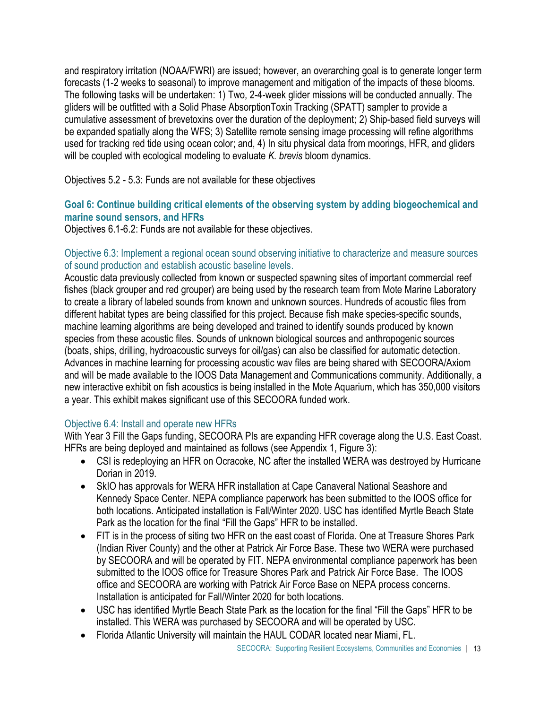and respiratory irritation (NOAA/FWRI) are issued; however, an overarching goal is to generate longer term forecasts (1-2 weeks to seasonal) to improve management and mitigation of the impacts of these blooms. The following tasks will be undertaken: 1) Two, 2-4-week glider missions will be conducted annually. The gliders will be outfitted with a Solid Phase AbsorptionToxin Tracking (SPATT) sampler to provide a cumulative assessment of brevetoxins over the duration of the deployment; 2) Ship-based field surveys will be expanded spatially along the WFS; 3) Satellite remote sensing image processing will refine algorithms used for tracking red tide using ocean color; and, 4) In situ physical data from moorings, HFR, and gliders will be coupled with ecological modeling to evaluate *K. brevis* bloom dynamics.

Objectives 5.2 - 5.3: Funds are not available for these objectives

# **Goal 6: Continue building critical elements of the observing system by adding biogeochemical and marine sound sensors, and HFRs**

Objectives 6.1-6.2: Funds are not available for these objectives.

# Objective 6.3: Implement a regional ocean sound observing initiative to characterize and measure sources of sound production and establish acoustic baseline levels.

Acoustic data previously collected from known or suspected spawning sites of important commercial reef fishes (black grouper and red grouper) are being used by the research team from Mote Marine Laboratory to create a library of labeled sounds from known and unknown sources. Hundreds of acoustic files from different habitat types are being classified for this project. Because fish make species-specific sounds, machine learning algorithms are being developed and trained to identify sounds produced by known species from these acoustic files. Sounds of unknown biological sources and anthropogenic sources (boats, ships, drilling, hydroacoustic surveys for oil/gas) can also be classified for automatic detection. Advances in machine learning for processing acoustic wav files are being shared with SECOORA/Axiom and will be made available to the IOOS Data Management and Communications community. Additionally, a new interactive exhibit on fish acoustics is being installed in the Mote Aquarium, which has 350,000 visitors a year. This exhibit makes significant use of this SECOORA funded work.

# Objective 6.4: Install and operate new HFRs

With Year 3 Fill the Gaps funding, SECOORA PIs are expanding HFR coverage along the U.S. East Coast. HFRs are being deployed and maintained as follows (see Appendix 1, Figure 3):

- CSI is redeploying an HFR on Ocracoke, NC after the installed WERA was destroyed by Hurricane Dorian in 2019.
- SkIO has approvals for WERA HFR installation at Cape Canaveral National Seashore and Kennedy Space Center. NEPA compliance paperwork has been submitted to the IOOS office for both locations. Anticipated installation is Fall/Winter 2020. USC has identified Myrtle Beach State Park as the location for the final "Fill the Gaps" HFR to be installed.
- FIT is in the process of siting two HFR on the east coast of Florida. One at Treasure Shores Park (Indian River County) and the other at Patrick Air Force Base. These two WERA were purchased by SECOORA and will be operated by FIT. NEPA environmental compliance paperwork has been submitted to the IOOS office for Treasure Shores Park and Patrick Air Force Base. The IOOS office and SECOORA are working with Patrick Air Force Base on NEPA process concerns. Installation is anticipated for Fall/Winter 2020 for both locations.
- USC has identified Myrtle Beach State Park as the location for the final "Fill the Gaps" HFR to be installed. This WERA was purchased by SECOORA and will be operated by USC.
- Florida Atlantic University will maintain the HAUL CODAR located near Miami, FL.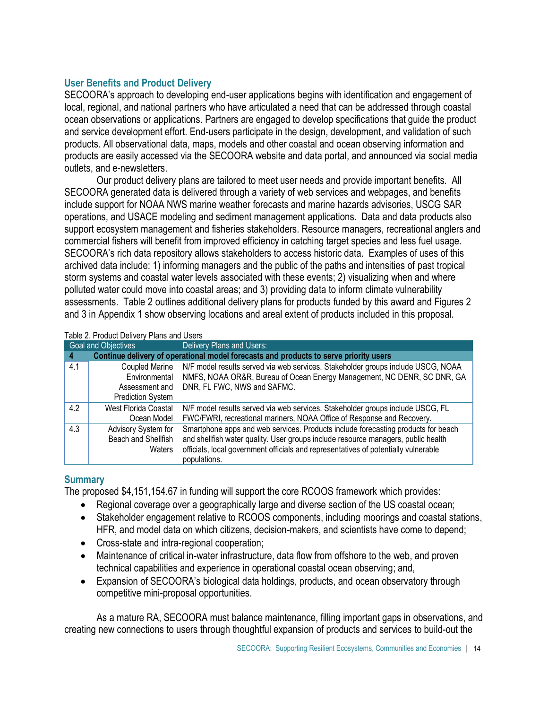## **User Benefits and Product Delivery**

SECOORA's approach to developing end-user applications begins with identification and engagement of local, regional, and national partners who have articulated a need that can be addressed through coastal ocean observations or applications. Partners are engaged to develop specifications that guide the product and service development effort. End-users participate in the design, development, and validation of such products. All observational data, maps, models and other coastal and ocean observing information and products are easily accessed via the SECOORA website and data portal, and announced via social media outlets, and e-newsletters.

Our product delivery plans are tailored to meet user needs and provide important benefits. All SECOORA generated data is delivered through a variety of web services and webpages, and benefits include support for NOAA NWS marine weather forecasts and marine hazards advisories, USCG SAR operations, and USACE modeling and sediment management applications. Data and data products also support ecosystem management and fisheries stakeholders. Resource managers, recreational anglers and commercial fishers will benefit from improved efficiency in catching target species and less fuel usage. SECOORA's rich data repository allows stakeholders to access historic data. Examples of uses of this archived data include: 1) informing managers and the public of the paths and intensities of past tropical storm systems and coastal water levels associated with these events; 2) visualizing when and where polluted water could move into coastal areas; and 3) providing data to inform climate vulnerability assessments. Table 2 outlines additional delivery plans for products funded by this award and Figures 2 and 3 in Appendix 1 show observing locations and areal extent of products included in this proposal.

| Table 2. Product Delivery Plans and Users |  |
|-------------------------------------------|--|
|-------------------------------------------|--|

|     | Goal and Objectives      | Delivery Plans and Users:                                                             |
|-----|--------------------------|---------------------------------------------------------------------------------------|
| 4   |                          | Continue delivery of operational model forecasts and products to serve priority users |
| 4.1 | Coupled Marine           | N/F model results served via web services. Stakeholder groups include USCG, NOAA      |
|     | Environmental            | NMFS, NOAA OR&R, Bureau of Ocean Energy Management, NC DENR, SC DNR, GA               |
|     | Assessment and           | DNR, FL FWC, NWS and SAFMC.                                                           |
|     | <b>Prediction System</b> |                                                                                       |
| 4.2 | West Florida Coastal     | N/F model results served via web services. Stakeholder groups include USCG, FL        |
|     | Ocean Model              | FWC/FWRI, recreational mariners, NOAA Office of Response and Recovery.                |
| 4.3 | Advisory System for      | Smartphone apps and web services. Products include forecasting products for beach     |
|     | Beach and Shellfish      | and shellfish water quality. User groups include resource managers, public health     |
|     | Waters                   | officials, local government officials and representatives of potentially vulnerable   |
|     |                          | populations.                                                                          |

# **Summary**

The proposed \$4,151,154.67 in funding will support the core RCOOS framework which provides:

- Regional coverage over a geographically large and diverse section of the US coastal ocean;
- Stakeholder engagement relative to RCOOS components, including moorings and coastal stations, HFR, and model data on which citizens, decision-makers, and scientists have come to depend;
- Cross-state and intra-regional cooperation;
- Maintenance of critical in-water infrastructure, data flow from offshore to the web, and proven technical capabilities and experience in operational coastal ocean observing; and,
- Expansion of SECOORA's biological data holdings, products, and ocean observatory through competitive mini-proposal opportunities.

As a mature RA, SECOORA must balance maintenance, filling important gaps in observations, and creating new connections to users through thoughtful expansion of products and services to build-out the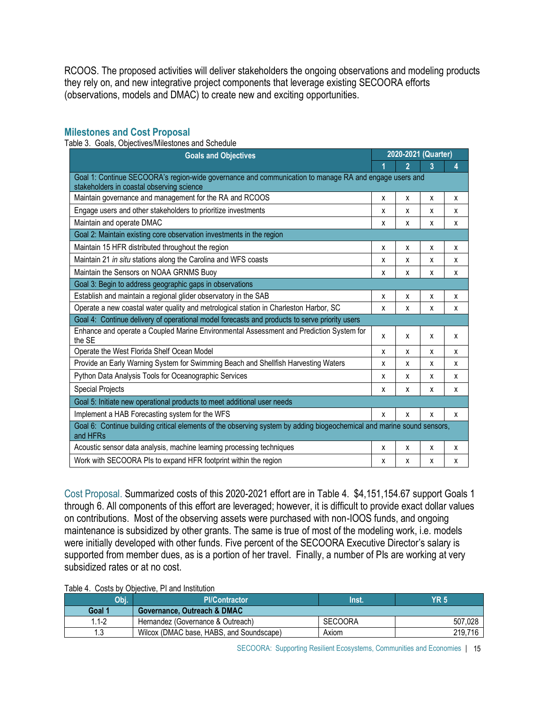RCOOS. The proposed activities will deliver stakeholders the ongoing observations and modeling products they rely on, and new integrative project components that leverage existing SECOORA efforts (observations, models and DMAC) to create new and exciting opportunities.

#### **Milestones and Cost Proposal**

Table 3. Goals, Objectives/Milestones and Schedule

| <b>Goals and Objectives</b>                                                                                                                        |   | 2020-2021 (Quarter) |   |   |  |  |
|----------------------------------------------------------------------------------------------------------------------------------------------------|---|---------------------|---|---|--|--|
|                                                                                                                                                    |   | $\overline{2}$      | 3 | 4 |  |  |
| Goal 1: Continue SECOORA's region-wide governance and communication to manage RA and engage users and<br>stakeholders in coastal observing science |   |                     |   |   |  |  |
| Maintain governance and management for the RA and RCOOS                                                                                            | X | x                   | x | х |  |  |
| Engage users and other stakeholders to prioritize investments                                                                                      | х | х                   | x | x |  |  |
| Maintain and operate DMAC                                                                                                                          | X | X                   | x | X |  |  |
| Goal 2: Maintain existing core observation investments in the region                                                                               |   |                     |   |   |  |  |
| Maintain 15 HFR distributed throughout the region                                                                                                  | x | X                   | X | X |  |  |
| Maintain 21 in situ stations along the Carolina and WFS coasts                                                                                     | x | X                   | x | x |  |  |
| Maintain the Sensors on NOAA GRNMS Buoy                                                                                                            | x | x                   | X | X |  |  |
| Goal 3: Begin to address geographic gaps in observations                                                                                           |   |                     |   |   |  |  |
| Establish and maintain a regional glider observatory in the SAB                                                                                    | х | х                   | X | х |  |  |
| Operate a new coastal water quality and metrological station in Charleston Harbor, SC                                                              | x | x                   | X | X |  |  |
| Goal 4: Continue delivery of operational model forecasts and products to serve priority users                                                      |   |                     |   |   |  |  |
| Enhance and operate a Coupled Marine Environmental Assessment and Prediction System for<br>the SE                                                  | x | X                   | X | X |  |  |
| Operate the West Florida Shelf Ocean Model                                                                                                         | х | х                   | X | х |  |  |
| Provide an Early Warning System for Swimming Beach and Shellfish Harvesting Waters                                                                 | x | x                   | X | X |  |  |
| Python Data Analysis Tools for Oceanographic Services                                                                                              | x | x                   | X | X |  |  |
| <b>Special Projects</b>                                                                                                                            | x | х                   | X | X |  |  |
| Goal 5: Initiate new operational products to meet additional user needs                                                                            |   |                     |   |   |  |  |
| Implement a HAB Forecasting system for the WFS                                                                                                     | x | x                   | X | X |  |  |
| Goal 6: Continue building critical elements of the observing system by adding biogeochemical and marine sound sensors,<br>and HFRs                 |   |                     |   |   |  |  |
| Acoustic sensor data analysis, machine learning processing techniques                                                                              | x | X                   | x | x |  |  |
| Work with SECOORA PIs to expand HFR footprint within the region                                                                                    | X | x                   | X | x |  |  |

Cost Proposal. Summarized costs of this 2020-2021 effort are in Table 4. \$4,151,154.67 support Goals 1 through 6. All components of this effort are leveraged; however, it is difficult to provide exact dollar values on contributions. Most of the observing assets were purchased with non-IOOS funds, and ongoing maintenance is subsidized by other grants. The same is true of most of the modeling work, i.e. models were initially developed with other funds. Five percent of the SECOORA Executive Director's salary is supported from member dues, as is a portion of her travel. Finally, a number of PIs are working at very subsidized rates or at no cost.

| Obj.      | <b>PI/Contractor</b>                     | <b>Tinst.</b>  | <b>YR 5</b> |
|-----------|------------------------------------------|----------------|-------------|
| Goal 1    | Governance, Outreach & DMAC              |                |             |
| $1.1 - 2$ | Hernandez (Governance & Outreach)        | <b>SECOORA</b> | 507,028     |
|           | Wilcox (DMAC base, HABS, and Soundscape) | Axiom          | 219.716     |

SECOORA: Supporting Resilient Ecosystems, Communities and Economies | 15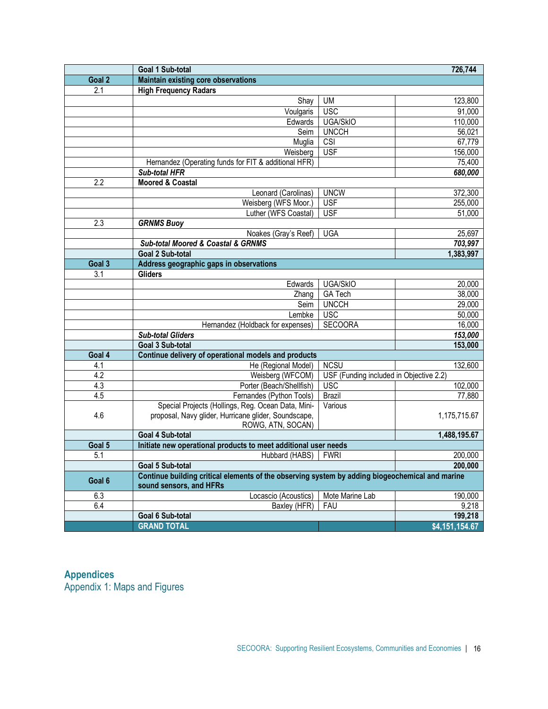|                  | Goal 1 Sub-total                                                                                                               |                                         | 726,744        |  |  |  |
|------------------|--------------------------------------------------------------------------------------------------------------------------------|-----------------------------------------|----------------|--|--|--|
| Goal 2           | <b>Maintain existing core observations</b>                                                                                     |                                         |                |  |  |  |
| 2.1              | <b>High Frequency Radars</b>                                                                                                   |                                         |                |  |  |  |
|                  | Shay                                                                                                                           | <b>UM</b>                               | 123,800        |  |  |  |
|                  | Voulgaris                                                                                                                      | <b>USC</b>                              | 91,000         |  |  |  |
|                  | Edwards                                                                                                                        | <b>UGA/SkIO</b>                         | 110,000        |  |  |  |
|                  | Seim                                                                                                                           | <b>UNCCH</b>                            | 56,021         |  |  |  |
|                  | Muglia                                                                                                                         | CSI                                     | 67,779         |  |  |  |
|                  | Weisberg                                                                                                                       | <b>USF</b>                              | 156,000        |  |  |  |
|                  | Hernandez (Operating funds for FIT & additional HFR)                                                                           |                                         | 75,400         |  |  |  |
|                  | <b>Sub-total HFR</b>                                                                                                           |                                         | 680,000        |  |  |  |
| $\overline{2.2}$ | <b>Moored &amp; Coastal</b>                                                                                                    |                                         |                |  |  |  |
|                  | Leonard (Carolinas)                                                                                                            | <b>UNCW</b>                             | 372,300        |  |  |  |
|                  | Weisberg (WFS Moor.)                                                                                                           | <b>USF</b>                              | 255,000        |  |  |  |
|                  | Luther (WFS Coastal)                                                                                                           | <b>USF</b>                              | 51,000         |  |  |  |
| 2.3              | <b>GRNMS Buoy</b>                                                                                                              |                                         |                |  |  |  |
|                  | Noakes (Gray's Reef)                                                                                                           | <b>UGA</b>                              | 25,697         |  |  |  |
|                  | Sub-total Moored & Coastal & GRNMS                                                                                             |                                         | 703,997        |  |  |  |
|                  | <b>Goal 2 Sub-total</b>                                                                                                        |                                         | 1,383,997      |  |  |  |
| Goal 3           | Address geographic gaps in observations                                                                                        |                                         |                |  |  |  |
| 3.1              | <b>Gliders</b>                                                                                                                 |                                         |                |  |  |  |
|                  | Edwards                                                                                                                        | <b>UGA/SkIO</b>                         | 20,000         |  |  |  |
|                  | Zhang                                                                                                                          | <b>GA Tech</b>                          | 38,000         |  |  |  |
|                  | Seim                                                                                                                           | <b>UNCCH</b>                            | 29,000         |  |  |  |
|                  | Lembke                                                                                                                         | <b>USC</b>                              | 50,000         |  |  |  |
|                  | Hernandez (Holdback for expenses)                                                                                              | <b>SECOORA</b>                          | 16,000         |  |  |  |
|                  | 153,000<br><b>Sub-total Gliders</b>                                                                                            |                                         |                |  |  |  |
|                  | Goal 3 Sub-total                                                                                                               |                                         | 153,000        |  |  |  |
| Goal 4           | Continue delivery of operational models and products                                                                           |                                         |                |  |  |  |
| 4.1              | He (Regional Model)                                                                                                            | <b>NCSU</b>                             | 132,600        |  |  |  |
| 4.2              | Weisberg (WFCOM)                                                                                                               | USF (Funding included in Objective 2.2) |                |  |  |  |
| 4.3              | Porter (Beach/Shellfish)                                                                                                       | <b>USC</b>                              | 102,000        |  |  |  |
| 4.5              | Fernandes (Python Tools)                                                                                                       | <b>Brazil</b>                           | 77,880         |  |  |  |
|                  | Special Projects (Hollings, Reg. Ocean Data, Mini-                                                                             | Various                                 |                |  |  |  |
| 4.6              | proposal, Navy glider, Hurricane glider, Soundscape,<br>ROWG, ATN, SOCAN)                                                      |                                         | 1,175,715.67   |  |  |  |
|                  | Goal 4 Sub-total                                                                                                               |                                         | 1,488,195.67   |  |  |  |
| Goal 5           | Initiate new operational products to meet additional user needs                                                                |                                         |                |  |  |  |
| 5.1              |                                                                                                                                | <b>FWRI</b>                             | 200,000        |  |  |  |
|                  | Hubbard (HABS)                                                                                                                 |                                         |                |  |  |  |
|                  | Goal 5 Sub-total<br>200,000<br>Continue building critical elements of the observing system by adding biogeochemical and marine |                                         |                |  |  |  |
| Goal 6           | sound sensors, and HFRs                                                                                                        |                                         |                |  |  |  |
| 6.3              | Locascio (Acoustics)                                                                                                           | Mote Marine Lab                         | 190,000        |  |  |  |
| 6.4              | Baxley (HFR)                                                                                                                   | <b>FAU</b>                              | 9,218          |  |  |  |
|                  | Goal 6 Sub-total                                                                                                               |                                         | 199,218        |  |  |  |
|                  | <b>GRAND TOTAL</b>                                                                                                             |                                         | \$4,151,154.67 |  |  |  |

## **Appendices** Appendix 1: Maps and Figures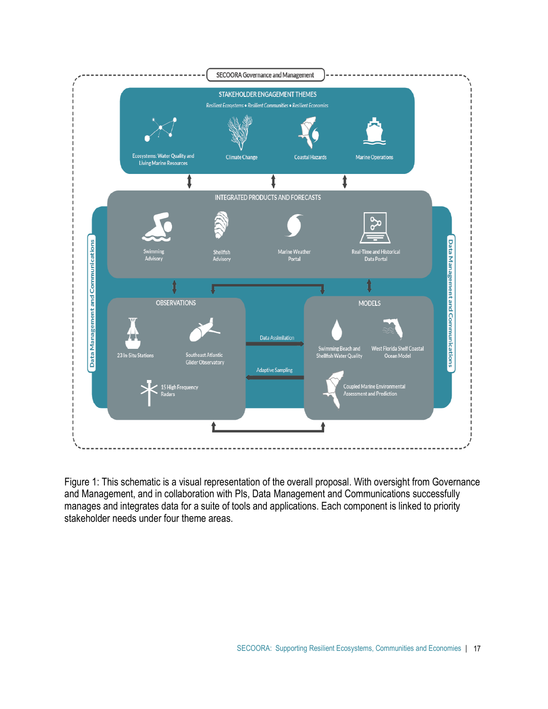

Figure 1: This schematic is a visual representation of the overall proposal. With oversight from Governance and Management, and in collaboration with PIs, Data Management and Communications successfully manages and integrates data for a suite of tools and applications. Each component is linked to priority stakeholder needs under four theme areas.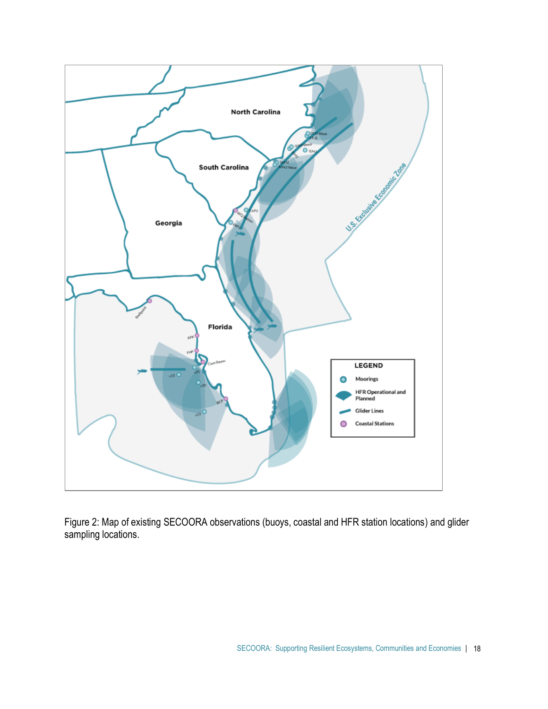

Figure 2: Map of existing SECOORA observations (buoys, coastal and HFR station locations) and glider sampling locations.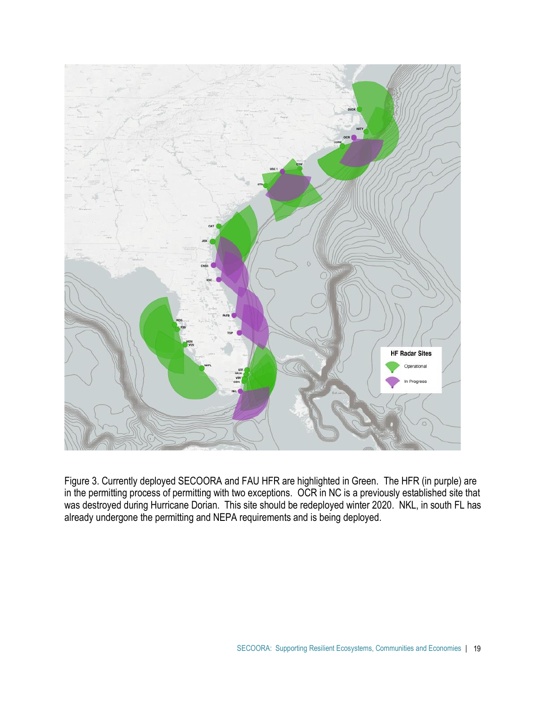

Figure 3. Currently deployed SECOORA and FAU HFR are highlighted in Green. The HFR (in purple) are in the permitting process of permitting with two exceptions. OCR in NC is a previously established site that was destroyed during Hurricane Dorian. This site should be redeployed winter 2020. NKL, in south FL has already undergone the permitting and NEPA requirements and is being deployed.